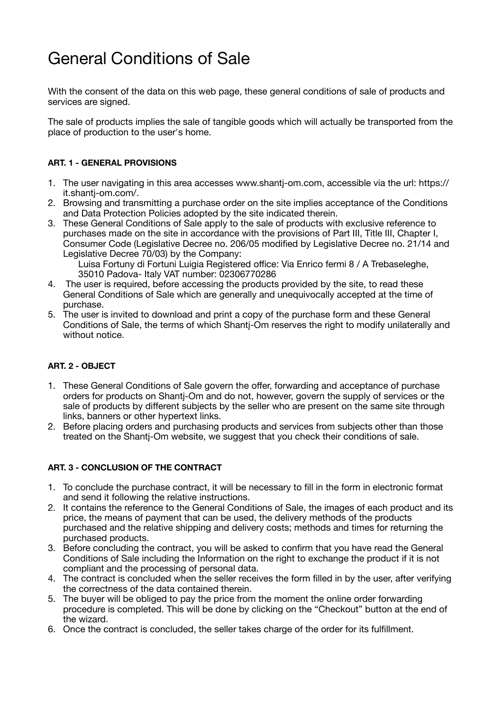# General Conditions of Sale

With the consent of the data on this web page, these general conditions of sale of products and services are signed.

The sale of products implies the sale of tangible goods which will actually be transported from the place of production to the user's home.

## **ART. 1 - GENERAL PROVISIONS**

- 1. The user navigating in this area accesses www.shantj-om.com, accessible via the url: https:// it.shantj-om.com/.
- 2. Browsing and transmitting a purchase order on the site implies acceptance of the Conditions and Data Protection Policies adopted by the site indicated therein.
- 3. These General Conditions of Sale apply to the sale of products with exclusive reference to purchases made on the site in accordance with the provisions of Part III, Title III, Chapter I, Consumer Code (Legislative Decree no. 206/05 modified by Legislative Decree no. 21/14 and Legislative Decree 70/03) by the Company:

Luisa Fortuny di Fortuni Luigia Registered office: Via Enrico fermi 8 / A Trebaseleghe, 35010 Padova- Italy VAT number: 02306770286

- 4. The user is required, before accessing the products provided by the site, to read these General Conditions of Sale which are generally and unequivocally accepted at the time of purchase.
- 5. The user is invited to download and print a copy of the purchase form and these General Conditions of Sale, the terms of which Shantj-Om reserves the right to modify unilaterally and without notice.

## **ART. 2 - OBJECT**

- 1. These General Conditions of Sale govern the offer, forwarding and acceptance of purchase orders for products on Shantj-Om and do not, however, govern the supply of services or the sale of products by different subjects by the seller who are present on the same site through links, banners or other hypertext links.
- 2. Before placing orders and purchasing products and services from subjects other than those treated on the Shantj-Om website, we suggest that you check their conditions of sale.

## **ART. 3 - CONCLUSION OF THE CONTRACT**

- 1. To conclude the purchase contract, it will be necessary to fill in the form in electronic format and send it following the relative instructions.
- 2. It contains the reference to the General Conditions of Sale, the images of each product and its price, the means of payment that can be used, the delivery methods of the products purchased and the relative shipping and delivery costs; methods and times for returning the purchased products.
- 3. Before concluding the contract, you will be asked to confirm that you have read the General Conditions of Sale including the Information on the right to exchange the product if it is not compliant and the processing of personal data.
- 4. The contract is concluded when the seller receives the form filled in by the user, after verifying the correctness of the data contained therein.
- 5. The buyer will be obliged to pay the price from the moment the online order forwarding procedure is completed. This will be done by clicking on the "Checkout" button at the end of the wizard.
- 6. Once the contract is concluded, the seller takes charge of the order for its fulfillment.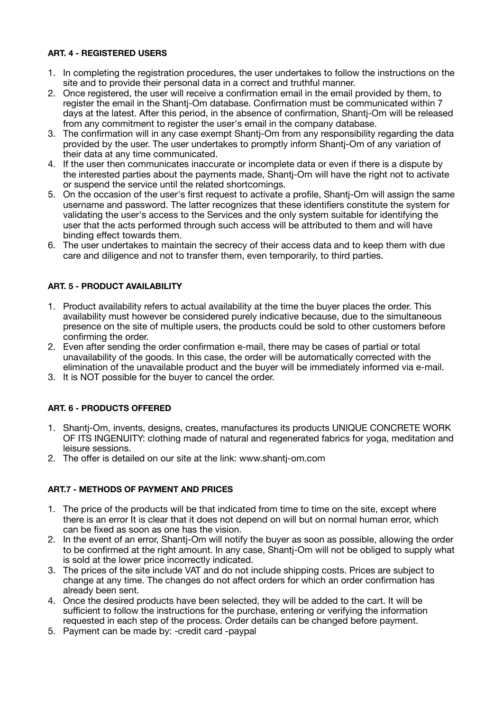#### **ART. 4 - REGISTERED USERS**

- 1. In completing the registration procedures, the user undertakes to follow the instructions on the site and to provide their personal data in a correct and truthful manner.
- 2. Once registered, the user will receive a confirmation email in the email provided by them, to register the email in the Shantj-Om database. Confirmation must be communicated within 7 days at the latest. After this period, in the absence of confirmation, Shantj-Om will be released from any commitment to register the user's email in the company database.
- 3. The confirmation will in any case exempt Shantj-Om from any responsibility regarding the data provided by the user. The user undertakes to promptly inform Shantj-Om of any variation of their data at any time communicated.
- 4. If the user then communicates inaccurate or incomplete data or even if there is a dispute by the interested parties about the payments made, Shantj-Om will have the right not to activate or suspend the service until the related shortcomings.
- 5. On the occasion of the user's first request to activate a profile, Shantj-Om will assign the same username and password. The latter recognizes that these identifiers constitute the system for validating the user's access to the Services and the only system suitable for identifying the user that the acts performed through such access will be attributed to them and will have binding effect towards them.
- 6. The user undertakes to maintain the secrecy of their access data and to keep them with due care and diligence and not to transfer them, even temporarily, to third parties.

## **ART. 5 - PRODUCT AVAILABILITY**

- 1. Product availability refers to actual availability at the time the buyer places the order. This availability must however be considered purely indicative because, due to the simultaneous presence on the site of multiple users, the products could be sold to other customers before confirming the order.
- 2. Even after sending the order confirmation e-mail, there may be cases of partial or total unavailability of the goods. In this case, the order will be automatically corrected with the elimination of the unavailable product and the buyer will be immediately informed via e-mail.
- 3. It is NOT possible for the buyer to cancel the order.

## **ART. 6 - PRODUCTS OFFERED**

- 1. Shantj-Om, invents, designs, creates, manufactures its products UNIQUE CONCRETE WORK OF ITS INGENUITY: clothing made of natural and regenerated fabrics for yoga, meditation and leisure sessions.
- 2. The offer is detailed on our site at the link: www.shantj-om.com

#### **ART.7 - METHODS OF PAYMENT AND PRICES**

- 1. The price of the products will be that indicated from time to time on the site, except where there is an error It is clear that it does not depend on will but on normal human error, which can be fixed as soon as one has the vision.
- 2. In the event of an error, Shantj-Om will notify the buyer as soon as possible, allowing the order to be confirmed at the right amount. In any case, Shantj-Om will not be obliged to supply what is sold at the lower price incorrectly indicated.
- 3. The prices of the site include VAT and do not include shipping costs. Prices are subject to change at any time. The changes do not affect orders for which an order confirmation has already been sent.
- 4. Once the desired products have been selected, they will be added to the cart. It will be sufficient to follow the instructions for the purchase, entering or verifying the information requested in each step of the process. Order details can be changed before payment.
- 5. Payment can be made by: -credit card -paypal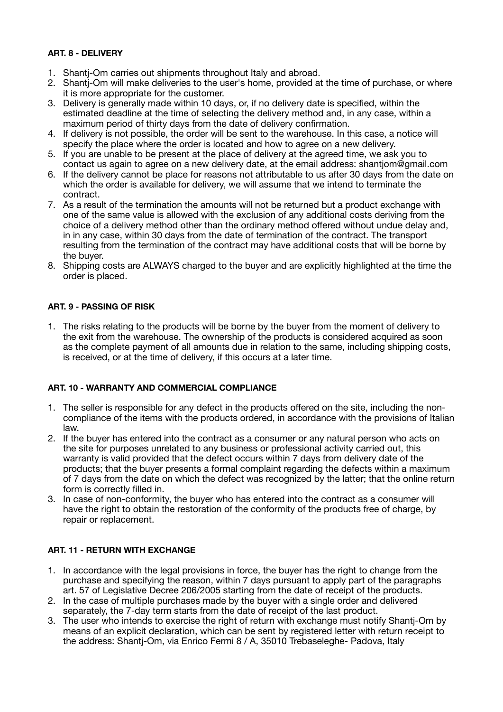## **ART. 8 - DELIVERY**

- 1. Shantj-Om carries out shipments throughout Italy and abroad.
- 2. Shantj-Om will make deliveries to the user's home, provided at the time of purchase, or where it is more appropriate for the customer.
- 3. Delivery is generally made within 10 days, or, if no delivery date is specified, within the estimated deadline at the time of selecting the delivery method and, in any case, within a maximum period of thirty days from the date of delivery confirmation.
- 4. If delivery is not possible, the order will be sent to the warehouse. In this case, a notice will specify the place where the order is located and how to agree on a new delivery.
- 5. If you are unable to be present at the place of delivery at the agreed time, we ask you to contact us again to agree on a new delivery date, at the email address: shantjom@gmail.com
- 6. If the delivery cannot be place for reasons not attributable to us after 30 days from the date on which the order is available for delivery, we will assume that we intend to terminate the contract.
- 7. As a result of the termination the amounts will not be returned but a product exchange with one of the same value is allowed with the exclusion of any additional costs deriving from the choice of a delivery method other than the ordinary method offered without undue delay and, in in any case, within 30 days from the date of termination of the contract. The transport resulting from the termination of the contract may have additional costs that will be borne by the buyer.
- 8. Shipping costs are ALWAYS charged to the buyer and are explicitly highlighted at the time the order is placed.

#### **ART. 9 - PASSING OF RISK**

1. The risks relating to the products will be borne by the buyer from the moment of delivery to the exit from the warehouse. The ownership of the products is considered acquired as soon as the complete payment of all amounts due in relation to the same, including shipping costs, is received, or at the time of delivery, if this occurs at a later time.

## **ART. 10 - WARRANTY AND COMMERCIAL COMPLIANCE**

- 1. The seller is responsible for any defect in the products offered on the site, including the noncompliance of the items with the products ordered, in accordance with the provisions of Italian law.
- 2. If the buyer has entered into the contract as a consumer or any natural person who acts on the site for purposes unrelated to any business or professional activity carried out, this warranty is valid provided that the defect occurs within 7 days from delivery date of the products; that the buyer presents a formal complaint regarding the defects within a maximum of 7 days from the date on which the defect was recognized by the latter; that the online return form is correctly filled in.
- 3. In case of non-conformity, the buyer who has entered into the contract as a consumer will have the right to obtain the restoration of the conformity of the products free of charge, by repair or replacement.

#### **ART. 11 - RETURN WITH EXCHANGE**

- 1. In accordance with the legal provisions in force, the buyer has the right to change from the purchase and specifying the reason, within 7 days pursuant to apply part of the paragraphs art. 57 of Legislative Decree 206/2005 starting from the date of receipt of the products.
- 2. In the case of multiple purchases made by the buyer with a single order and delivered separately, the 7-day term starts from the date of receipt of the last product.
- 3. The user who intends to exercise the right of return with exchange must notify Shantj-Om by means of an explicit declaration, which can be sent by registered letter with return receipt to the address: Shantj-Om, via Enrico Fermi 8 / A, 35010 Trebaseleghe- Padova, Italy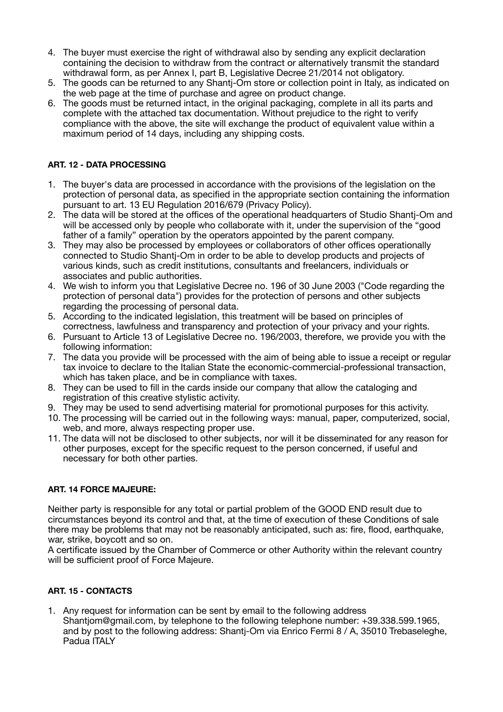- 4. The buyer must exercise the right of withdrawal also by sending any explicit declaration containing the decision to withdraw from the contract or alternatively transmit the standard withdrawal form, as per Annex I, part B, Legislative Decree 21/2014 not obligatory.
- 5. The goods can be returned to any Shantj-Om store or collection point in Italy, as indicated on the web page at the time of purchase and agree on product change.
- 6. The goods must be returned intact, in the original packaging, complete in all its parts and complete with the attached tax documentation. Without prejudice to the right to verify compliance with the above, the site will exchange the product of equivalent value within a maximum period of 14 days, including any shipping costs.

# **ART. 12 - DATA PROCESSING**

- 1. The buyer's data are processed in accordance with the provisions of the legislation on the protection of personal data, as specified in the appropriate section containing the information pursuant to art. 13 EU Regulation 2016/679 (Privacy Policy).
- 2. The data will be stored at the offices of the operational headquarters of Studio Shantj-Om and will be accessed only by people who collaborate with it, under the supervision of the "good father of a family" operation by the operators appointed by the parent company.
- 3. They may also be processed by employees or collaborators of other offices operationally connected to Studio Shantj-Om in order to be able to develop products and projects of various kinds, such as credit institutions, consultants and freelancers, individuals or associates and public authorities.
- 4. We wish to inform you that Legislative Decree no. 196 of 30 June 2003 ("Code regarding the protection of personal data") provides for the protection of persons and other subjects regarding the processing of personal data.
- 5. According to the indicated legislation, this treatment will be based on principles of correctness, lawfulness and transparency and protection of your privacy and your rights.
- 6. Pursuant to Article 13 of Legislative Decree no. 196/2003, therefore, we provide you with the following information:
- 7. The data you provide will be processed with the aim of being able to issue a receipt or regular tax invoice to declare to the Italian State the economic-commercial-professional transaction, which has taken place, and be in compliance with taxes.
- 8. They can be used to fill in the cards inside our company that allow the cataloging and registration of this creative stylistic activity.
- 9. They may be used to send advertising material for promotional purposes for this activity.
- 10. The processing will be carried out in the following ways: manual, paper, computerized, social, web, and more, always respecting proper use.
- 11. The data will not be disclosed to other subjects, nor will it be disseminated for any reason for other purposes, except for the specific request to the person concerned, if useful and necessary for both other parties.

## **ART. 14 FORCE MAJEURE:**

Neither party is responsible for any total or partial problem of the GOOD END result due to circumstances beyond its control and that, at the time of execution of these Conditions of sale there may be problems that may not be reasonably anticipated, such as: fire, flood, earthquake, war, strike, boycott and so on.

A certificate issued by the Chamber of Commerce or other Authority within the relevant country will be sufficient proof of Force Majeure.

## **ART. 15 - CONTACTS**

1. Any request for information can be sent by email to the following address Shantiom@gmail.com, by telephone to the following telephone number: +39.338.599.1965, and by post to the following address: Shantj-Om via Enrico Fermi 8 / A, 35010 Trebaseleghe, Padua ITALY